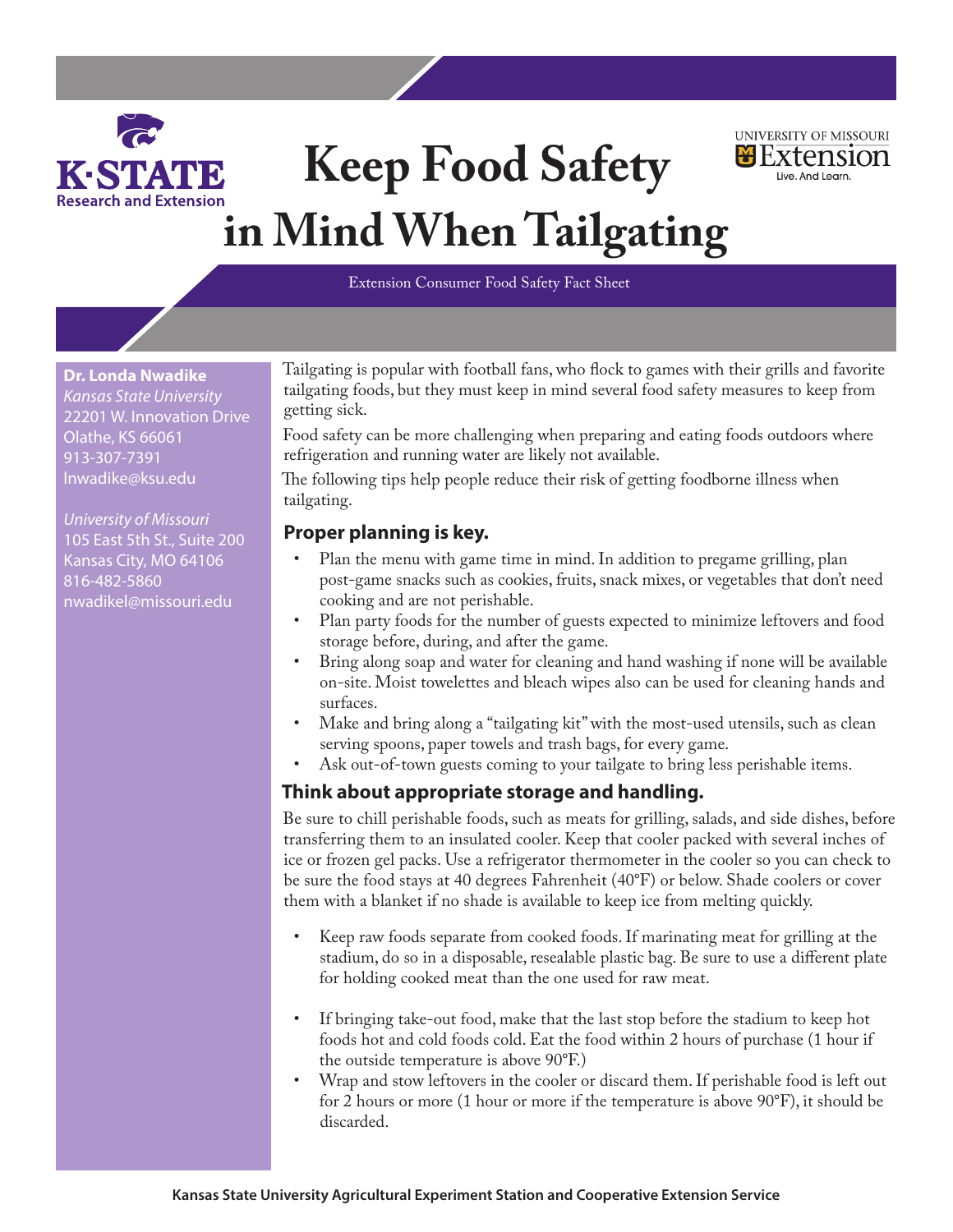

# **Keep Food Safety in Mind When Tailgating**



#### Extension Consumer Food Safety Fact Sheet

**Dr. Londa Nwadike** *Kansas State University* 22201 W. Innovation Drive Olathe, KS 66061 913-307-7391 lnwadike@ksu.edu

*University of Missouri* 105 East 5th St., Suite 200 Kansas City, MO 64106 816-482-5860 nwadikel@missouri.edu

Tailgating is popular with football fans, who flock to games with their grills and favorite tailgating foods, but they must keep in mind several food safety measures to keep from getting sick.

Food safety can be more challenging when preparing and eating foods outdoors where refrigeration and running water are likely not available.

The following tips help people reduce their risk of getting foodborne illness when tailgating.

## **Proper planning is key.**

- Plan the menu with game time in mind. In addition to pregame grilling, plan post-game snacks such as cookies, fruits, snack mixes, or vegetables that don't need cooking and are not perishable.
- Plan party foods for the number of guests expected to minimize leftovers and food storage before, during, and after the game.
- Bring along soap and water for cleaning and hand washing if none will be available on-site. Moist towelettes and bleach wipes also can be used for cleaning hands and surfaces.
- Make and bring along a "tailgating kit" with the most-used utensils, such as clean serving spoons, paper towels and trash bags, for every game.
- Ask out-of-town guests coming to your tailgate to bring less perishable items.

#### **Think about appropriate storage and handling.**

Be sure to chill perishable foods, such as meats for grilling, salads, and side dishes, before transferring them to an insulated cooler. Keep that cooler packed with several inches of ice or frozen gel packs. Use a refrigerator thermometer in the cooler so you can check to be sure the food stays at 40 degrees Fahrenheit (40°F) or below. Shade coolers or cover them with a blanket if no shade is available to keep ice from melting quickly.

- Keep raw foods separate from cooked foods. If marinating meat for grilling at the stadium, do so in a disposable, resealable plastic bag. Be sure to use a different plate for holding cooked meat than the one used for raw meat.
- If bringing take-out food, make that the last stop before the stadium to keep hot foods hot and cold foods cold. Eat the food within 2 hours of purchase (1 hour if the outside temperature is above 90°F.)
- Wrap and stow leftovers in the cooler or discard them. If perishable food is left out for 2 hours or more (1 hour or more if the temperature is above 90°F), it should be discarded.